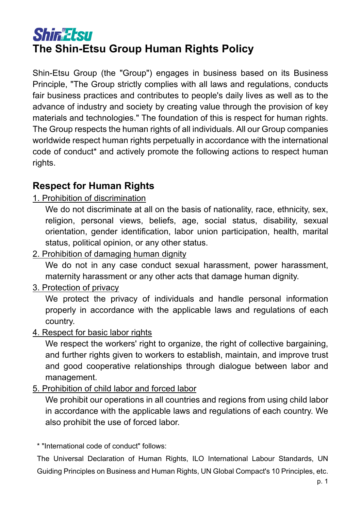# **Shir Etsu The Shin-Etsu Group Human Rights Policy**

Shin-Etsu Group (the "Group") engages in business based on its Business Principle, "The Group strictly complies with all laws and regulations, conducts fair business practices and contributes to people's daily lives as well as to the advance of industry and society by creating value through the provision of key materials and technologies." The foundation of this is respect for human rights. The Group respects the human rights of all individuals. All our Group companies worldwide respect human rights perpetually in accordance with the international code of conduct\* and actively promote the following actions to respect human rights.

### **Respect for Human Rights**

1. Prohibition of discrimination

We do not discriminate at all on the basis of nationality, race, ethnicity, sex, religion, personal views, beliefs, age, social status, disability, sexual orientation, gender identification, labor union participation, health, marital status, political opinion, or any other status.

2. Prohibition of damaging human dignity

We do not in any case conduct sexual harassment, power harassment, maternity harassment or any other acts that damage human dignity.

### 3. Protection of privacy

We protect the privacy of individuals and handle personal information properly in accordance with the applicable laws and regulations of each country.

4. Respect for basic labor rights

We respect the workers' right to organize, the right of collective bargaining, and further rights given to workers to establish, maintain, and improve trust and good cooperative relationships through dialogue between labor and management.

5. Prohibition of child labor and forced labor

We prohibit our operations in all countries and regions from using child labor in accordance with the applicable laws and regulations of each country. We also prohibit the use of forced labor.

\* "International code of conduct" follows:

The Universal Declaration of Human Rights, ILO International Labour Standards, UN Guiding Principles on Business and Human Rights, UN Global Compact's 10 Principles, etc.